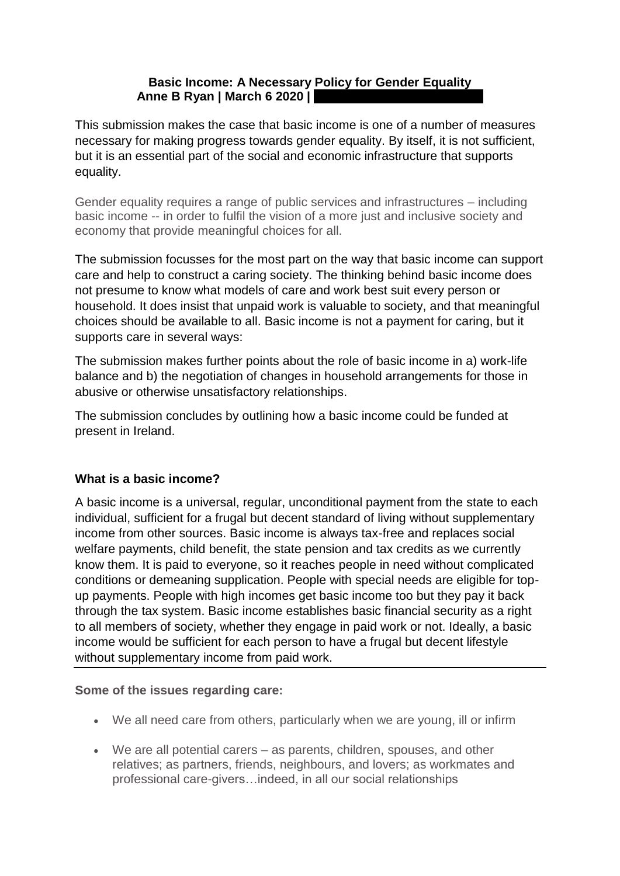## **Basic Income: A Necessary Policy for Gender Equality Anne B Ryan | March 6 2020 |**

This submission makes the case that basic income is one of a number of measures necessary for making progress towards gender equality. By itself, it is not sufficient, but it is an essential part of the social and economic infrastructure that supports equality.

Gender equality requires a range of public services and infrastructures – including basic income -- in order to fulfil the vision of a more just and inclusive society and economy that provide meaningful choices for all.

The submission focusses for the most part on the way that basic income can support care and help to construct a caring society. The thinking behind basic income does not presume to know what models of care and work best suit every person or household. It does insist that unpaid work is valuable to society, and that meaningful choices should be available to all. Basic income is not a payment for caring, but it supports care in several ways:

The submission makes further points about the role of basic income in a) work-life balance and b) the negotiation of changes in household arrangements for those in abusive or otherwise unsatisfactory relationships.

The submission concludes by outlining how a basic income could be funded at present in Ireland.

# **What is a basic income?**

A basic income is a universal, regular, unconditional payment from the state to each individual, sufficient for a frugal but decent standard of living without supplementary income from other sources. Basic income is always tax-free and replaces social welfare payments, child benefit, the state pension and tax credits as we currently know them. It is paid to everyone, so it reaches people in need without complicated conditions or demeaning supplication. People with special needs are eligible for topup payments. People with high incomes get basic income too but they pay it back through the tax system. Basic income establishes basic financial security as a right to all members of society, whether they engage in paid work or not. Ideally, a basic income would be sufficient for each person to have a frugal but decent lifestyle without supplementary income from paid work.

**Some of the issues regarding care:** 

- We all need care from others, particularly when we are young, ill or infirm
- We are all potential carers as parents, children, spouses, and other relatives; as partners, friends, neighbours, and lovers; as workmates and professional care-givers…indeed, in all our social relationships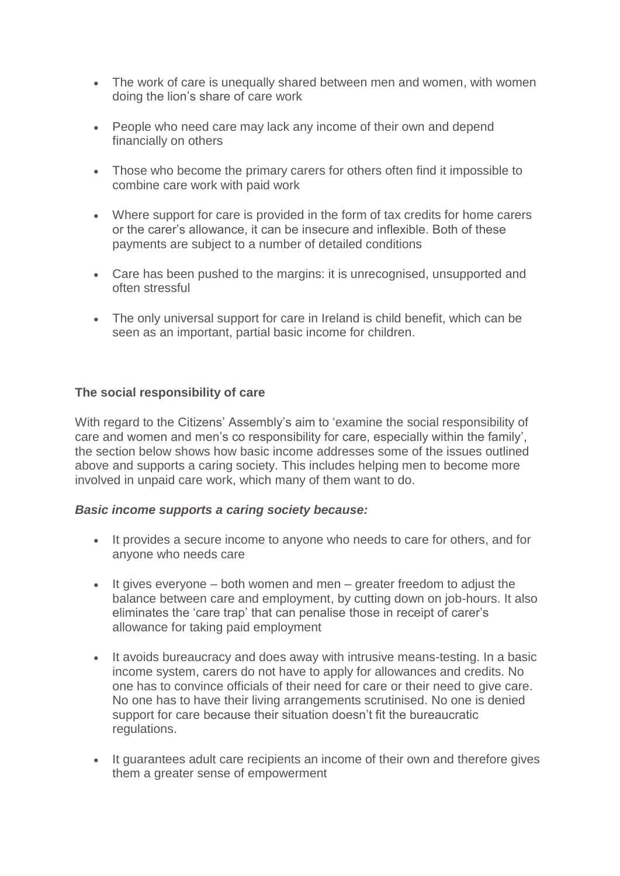- The work of care is unequally shared between men and women, with women doing the lion's share of care work
- People who need care may lack any income of their own and depend financially on others
- Those who become the primary carers for others often find it impossible to combine care work with paid work
- Where support for care is provided in the form of tax credits for home carers or the carer's allowance, it can be insecure and inflexible. Both of these payments are subject to a number of detailed conditions
- Care has been pushed to the margins: it is unrecognised, unsupported and often stressful
- The only universal support for care in Ireland is child benefit, which can be seen as an important, partial basic income for children.

### **The social responsibility of care**

With regard to the Citizens' Assembly's aim to 'examine the social responsibility of care and women and men's co responsibility for care, especially within the family', the section below shows how basic income addresses some of the issues outlined above and supports a caring society. This includes helping men to become more involved in unpaid care work, which many of them want to do.

### *Basic income supports a caring society because:*

- It provides a secure income to anyone who needs to care for others, and for anyone who needs care
- $\bullet$  It gives everyone both women and men greater freedom to adjust the balance between care and employment, by cutting down on job-hours. It also eliminates the 'care trap' that can penalise those in receipt of carer's allowance for taking paid employment
- It avoids bureaucracy and does away with intrusive means-testing. In a basic income system, carers do not have to apply for allowances and credits. No one has to convince officials of their need for care or their need to give care. No one has to have their living arrangements scrutinised. No one is denied support for care because their situation doesn't fit the bureaucratic regulations.
- It guarantees adult care recipients an income of their own and therefore gives them a greater sense of empowerment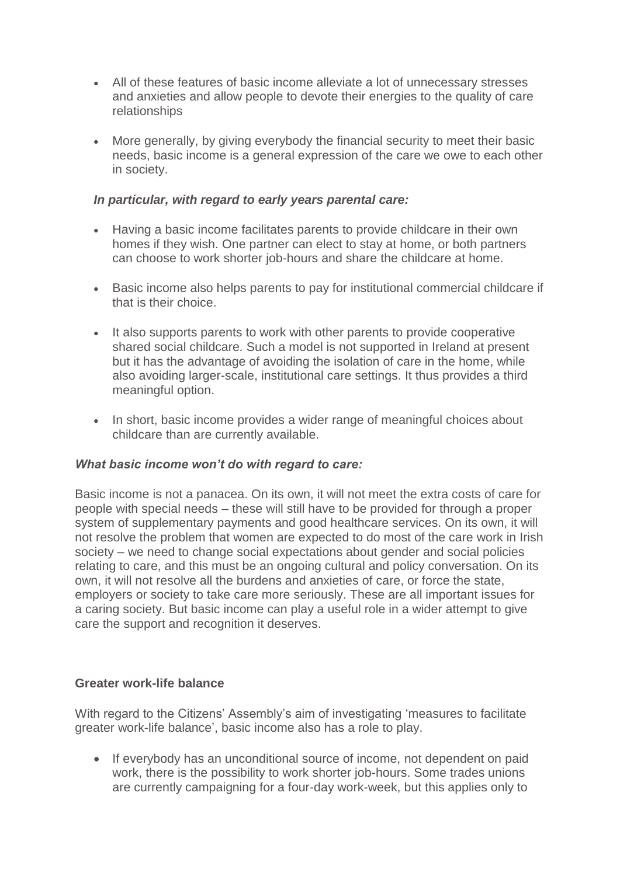- All of these features of basic income alleviate a lot of unnecessary stresses and anxieties and allow people to devote their energies to the quality of care relationships
- More generally, by giving everybody the financial security to meet their basic needs, basic income is a general expression of the care we owe to each other in society.

### *In particular, with regard to early years parental care:*

- Having a basic income facilitates parents to provide childcare in their own homes if they wish. One partner can elect to stay at home, or both partners can choose to work shorter job-hours and share the childcare at home.
- Basic income also helps parents to pay for institutional commercial childcare if that is their choice.
- It also supports parents to work with other parents to provide cooperative shared social childcare. Such a model is not supported in Ireland at present but it has the advantage of avoiding the isolation of care in the home, while also avoiding larger-scale, institutional care settings. It thus provides a third meaningful option.
- In short, basic income provides a wider range of meaningful choices about childcare than are currently available.

### *What basic income won't do with regard to care:*

Basic income is not a panacea. On its own, it will not meet the extra costs of care for people with special needs – these will still have to be provided for through a proper system of supplementary payments and good healthcare services. On its own, it will not resolve the problem that women are expected to do most of the care work in Irish society – we need to change social expectations about gender and social policies relating to care, and this must be an ongoing cultural and policy conversation. On its own, it will not resolve all the burdens and anxieties of care, or force the state, employers or society to take care more seriously. These are all important issues for a caring society. But basic income can play a useful role in a wider attempt to give care the support and recognition it deserves.

#### **Greater work-life balance**

With regard to the Citizens' Assembly's aim of investigating 'measures to facilitate greater work-life balance', basic income also has a role to play.

 If everybody has an unconditional source of income, not dependent on paid work, there is the possibility to work shorter job-hours. Some trades unions are currently campaigning for a four-day work-week, but this applies only to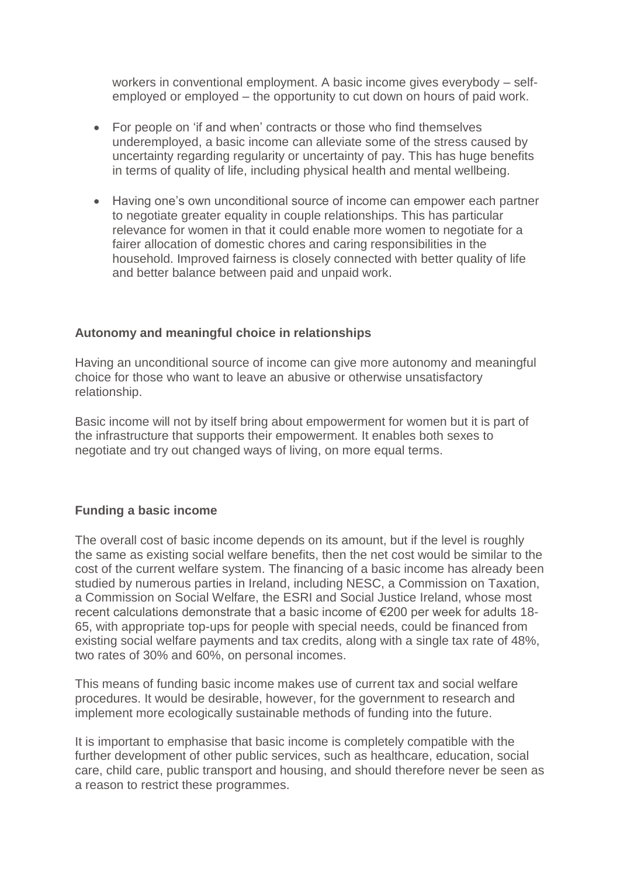workers in conventional employment. A basic income gives everybody – selfemployed or employed – the opportunity to cut down on hours of paid work.

- For people on 'if and when' contracts or those who find themselves underemployed, a basic income can alleviate some of the stress caused by uncertainty regarding regularity or uncertainty of pay. This has huge benefits in terms of quality of life, including physical health and mental wellbeing.
- Having one's own unconditional source of income can empower each partner to negotiate greater equality in couple relationships. This has particular relevance for women in that it could enable more women to negotiate for a fairer allocation of domestic chores and caring responsibilities in the household. Improved fairness is closely connected with better quality of life and better balance between paid and unpaid work.

### **Autonomy and meaningful choice in relationships**

Having an unconditional source of income can give more autonomy and meaningful choice for those who want to leave an abusive or otherwise unsatisfactory relationship.

Basic income will not by itself bring about empowerment for women but it is part of the infrastructure that supports their empowerment. It enables both sexes to negotiate and try out changed ways of living, on more equal terms.

### **Funding a basic income**

The overall cost of basic income depends on its amount, but if the level is roughly the same as existing social welfare benefits, then the net cost would be similar to the cost of the current welfare system. The financing of a basic income has already been studied by numerous parties in Ireland, including NESC, a Commission on Taxation, a Commission on Social Welfare, the ESRI and Social Justice Ireland, whose most recent calculations demonstrate that a basic income of €200 per week for adults 18- 65, with appropriate top-ups for people with special needs, could be financed from existing social welfare payments and tax credits, along with a single tax rate of 48%, two rates of 30% and 60%, on personal incomes.

This means of funding basic income makes use of current tax and social welfare procedures. It would be desirable, however, for the government to research and implement more ecologically sustainable methods of funding into the future.

It is important to emphasise that basic income is completely compatible with the further development of other public services, such as healthcare, education, social care, child care, public transport and housing, and should therefore never be seen as a reason to restrict these programmes.